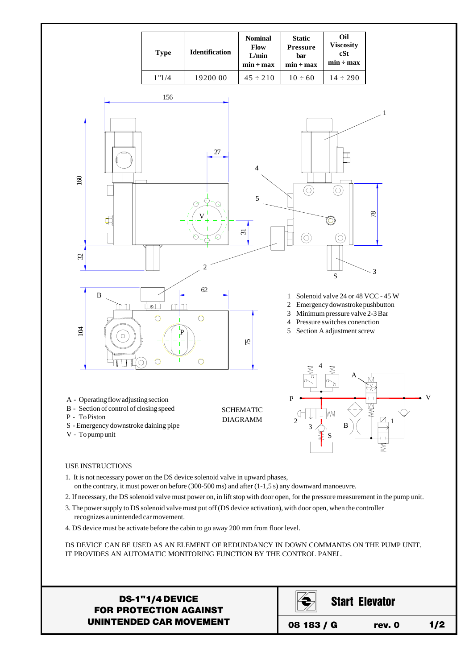

- on the contrary, it must power on before (300-500 ms) and after (1-1,5 s) any downward manoeuvre.
- 2. If necessary, the DS solenoid valve must power on, in lift stop with door open, for the pressure measurement in the pump unit.
- 3. The power supply to DS solenoid valve must put off (DS device activation), with door open, when the controller recognizes a unintended car movement.
- 4. DS device must be activate before the cabin to go away 200 mm from floor level.

DS DEVICE CAN BE USED AS AN ELEMENT OF REDUNDANCY IN DOWN COMMANDS ON THE PUMP UNIT. IT PROVIDES AN AUTOMATIC MONITORING FUNCTION BY THE CONTROL PANEL.

## DS-1"1/4 DEVICE FOR PROTECTION AGAINST UNINTENDED CAR MOVEMENT

|            |  | <b>Start Elevator</b> |       |
|------------|--|-----------------------|-------|
| 08 183 / G |  | rev. 0                | 1 / 2 |